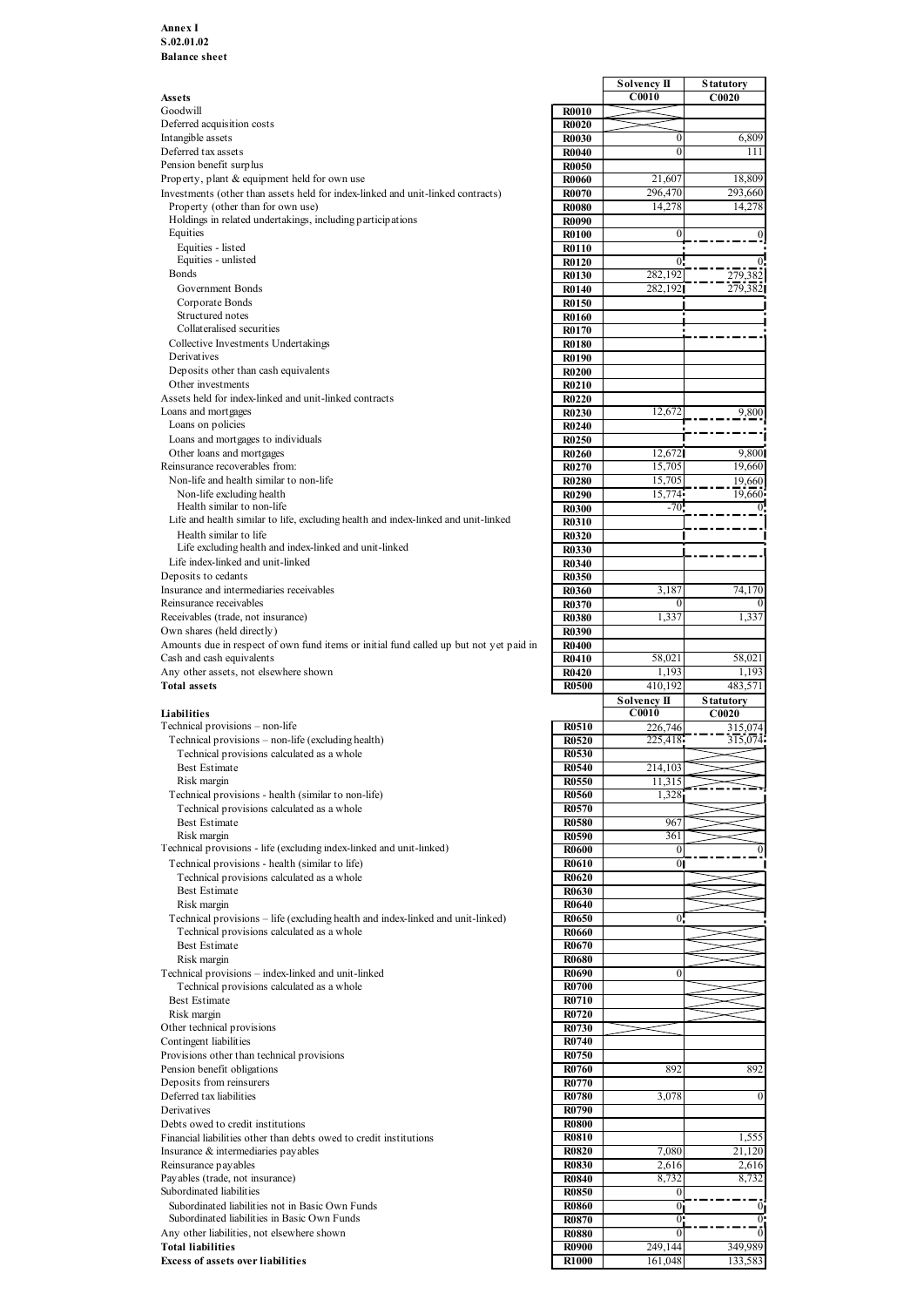|                                                                                        |                                   | Solvency II        | <b>Statutory</b>          |
|----------------------------------------------------------------------------------------|-----------------------------------|--------------------|---------------------------|
| Assets<br>Goodwill                                                                     | <b>R0010</b>                      | C0010              | C0020                     |
| Deferred acquisition costs                                                             | <b>R0020</b>                      |                    |                           |
| Intangible assets                                                                      | <b>R0030</b>                      | $\theta$           | 6,809                     |
| Deferred tax assets                                                                    | <b>R0040</b>                      |                    | 111                       |
| Pension benefit surplus                                                                | <b>R0050</b>                      |                    |                           |
| Property, plant & equipment held for own use                                           | <b>R0060</b>                      | 21,607             | 18,809                    |
| Investments (other than assets held for index-linked and unit-linked contracts)        | <b>R0070</b>                      | 296,470            | 293,660                   |
| Property (other than for own use)                                                      | <b>R0080</b>                      | 14,278             | 14,278                    |
| Holdings in related undertakings, including participations                             | <b>R0090</b>                      |                    |                           |
| Equities                                                                               | <b>R0100</b>                      |                    |                           |
| Equities - listed                                                                      | <b>R0110</b>                      |                    |                           |
| Equities - unlisted<br>Bonds                                                           | <b>R0120</b>                      |                    |                           |
|                                                                                        | R0130                             | 282,192            | 279,382                   |
| Government Bonds                                                                       | <b>R0140</b>                      | 282,192            | 279,382                   |
| Corporate Bonds<br>Structured notes                                                    | R0150                             |                    |                           |
| Collateralised securities                                                              | R0160                             |                    |                           |
| Collective Investments Undertakings                                                    | R0170<br><b>R0180</b>             |                    |                           |
| Derivatives                                                                            |                                   |                    |                           |
| Deposits other than cash equivalents                                                   | <b>R0190</b><br><b>R0200</b>      |                    |                           |
| Other investments                                                                      | R0210                             |                    |                           |
| Assets held for index-linked and unit-linked contracts                                 | R0220                             |                    |                           |
| Loans and mortgages                                                                    | <b>R0230</b>                      | 12,672             | 9,800                     |
| Loans on policies                                                                      | R0240                             |                    |                           |
| Loans and mortgages to individuals                                                     | R0250                             |                    |                           |
| Other loans and mortgages                                                              | <b>R0260</b>                      | 12,672             | 9,800                     |
| Reinsurance recoverables from:                                                         | <b>R0270</b>                      | 15,705             | 19,660                    |
| Non-life and health similar to non-life                                                | <b>R0280</b>                      | 15,705             | 19,660                    |
| Non-life excluding health                                                              | <b>R0290</b>                      | 15,774             | 19,660                    |
| Health similar to non-life                                                             | <b>R0300</b>                      | $-70$              |                           |
| Life and health similar to life, excluding health and index-linked and unit-linked     | R0310                             |                    |                           |
| Health similar to life                                                                 | <b>R0320</b>                      |                    |                           |
| Life excluding health and index-linked and unit-linked                                 | R0330                             |                    |                           |
| Life index-linked and unit-linked                                                      | R0340                             |                    |                           |
| Deposits to cedants                                                                    | R0350                             |                    |                           |
| Insurance and intermediaries receivables                                               | <b>R0360</b>                      | 3,187              | 74,170                    |
| Reinsurance receivables                                                                | R0370                             |                    |                           |
| Receivables (trade, not insurance)                                                     | <b>R0380</b>                      | 1,337              | 1,337                     |
| Own shares (held directly)                                                             | R0390                             |                    |                           |
| Amounts due in respect of own fund items or initial fund called up but not yet paid in | <b>R0400</b>                      |                    |                           |
| Cash and cash equivalents                                                              | R0410                             | 58,021             | 58,021                    |
| Any other assets, not elsewhere shown                                                  | R0420                             | 1,193              | 1,193                     |
| <b>Total assets</b>                                                                    | <b>R0500</b>                      | 410,192            | 483,571                   |
|                                                                                        |                                   | <b>Solvency II</b> | <b>Statutory</b>          |
| Liabilities                                                                            |                                   | C0010              | C0020                     |
| Technical provisions – non-life                                                        | <b>R0510</b>                      | 226,746            | 315,074                   |
| Technical provisions - non-life (excluding health)                                     | <b>R0520</b>                      | 225,418            | 315,074                   |
| Technical provisions calculated as a whole                                             | <b>R0530</b>                      |                    |                           |
| Best Estimate                                                                          | <b>R0540</b>                      | 214,103            |                           |
| Risk margin                                                                            | <b>R0550</b>                      | 11,315             |                           |
| Technical provisions - health (similar to non-life)                                    | <b>R0560</b>                      | 1,328              |                           |
| Technical provisions calculated as a whole                                             | <b>R0570</b>                      |                    |                           |
| <b>Best Estimate</b>                                                                   | <b>R0580</b>                      | 967                |                           |
| Risk margin                                                                            | <b>R0590</b>                      | 361                |                           |
| Technical provisions - life (excluding index-linked and unit-linked)                   | <b>R0600</b>                      |                    |                           |
| Technical provisions - health (similar to life)                                        | <b>R0610</b>                      | $\mathbf{0}$       |                           |
| Technical provisions calculated as a whole                                             | <b>R0620</b>                      |                    |                           |
| <b>Best Estimate</b>                                                                   | <b>R0630</b>                      |                    |                           |
| Risk margin                                                                            | <b>R0640</b>                      |                    |                           |
| Technical provisions - life (excluding health and index-linked and unit-linked)        | <b>R0650</b>                      | 0.                 |                           |
| Technical provisions calculated as a whole                                             | <b>R0660</b>                      |                    |                           |
| <b>Best Estimate</b>                                                                   | <b>R0670</b>                      |                    |                           |
| Risk margin                                                                            | <b>R0680</b>                      |                    |                           |
| Technical provisions - index-linked and unit-linked                                    | <b>R0690</b>                      |                    |                           |
| Technical provisions calculated as a whole                                             | <b>R0700</b>                      |                    |                           |
| Best Estimate                                                                          | <b>R0710</b>                      |                    |                           |
| Risk margin                                                                            | R0720                             |                    |                           |
| Other technical provisions                                                             | R0730                             |                    |                           |
| Contingent liabilities                                                                 | R0740                             |                    |                           |
| Provisions other than technical provisions                                             | <b>R0750</b>                      |                    |                           |
| Pension benefit obligations                                                            | <b>R0760</b>                      | 892                | 892                       |
|                                                                                        |                                   |                    |                           |
| Deposits from reinsurers                                                               | <b>R0770</b>                      |                    |                           |
| Deferred tax liabilities                                                               | <b>R0780</b>                      | 3,078              |                           |
| Derivatives                                                                            | R0790                             |                    |                           |
| Debts owed to credit institutions                                                      | <b>R0800</b>                      |                    |                           |
| Financial liabilities other than debts owed to credit institutions                     | <b>R0810</b>                      |                    | 1,555                     |
| Insurance & intermediaries payables                                                    | <b>R0820</b>                      | 7,080              | 21,120                    |
| Reinsurance payables                                                                   | <b>R0830</b>                      | 2,616              | 2,616                     |
| Payables (trade, not insurance)                                                        | <b>R0840</b>                      | 8,732              | 8,732                     |
| Subordinated liabilities                                                               | <b>R0850</b>                      |                    |                           |
| Subordinated liabilities not in Basic Own Funds                                        | <b>R0860</b>                      | 0                  | $\mathbf{0}_{\mathsf{I}}$ |
| Subordinated liabilities in Basic Own Funds                                            | <b>R0870</b>                      | 0:                 | $^{\circ}$                |
| Any other liabilities, not elsewhere shown                                             | <b>R0880</b>                      | $\Omega$           |                           |
| <b>Total liabilities</b><br><b>Excess of assets over liabilities</b>                   | <b>R0900</b><br>R <sub>1000</sub> | 249,144<br>161,048 | 349,989<br>133,583        |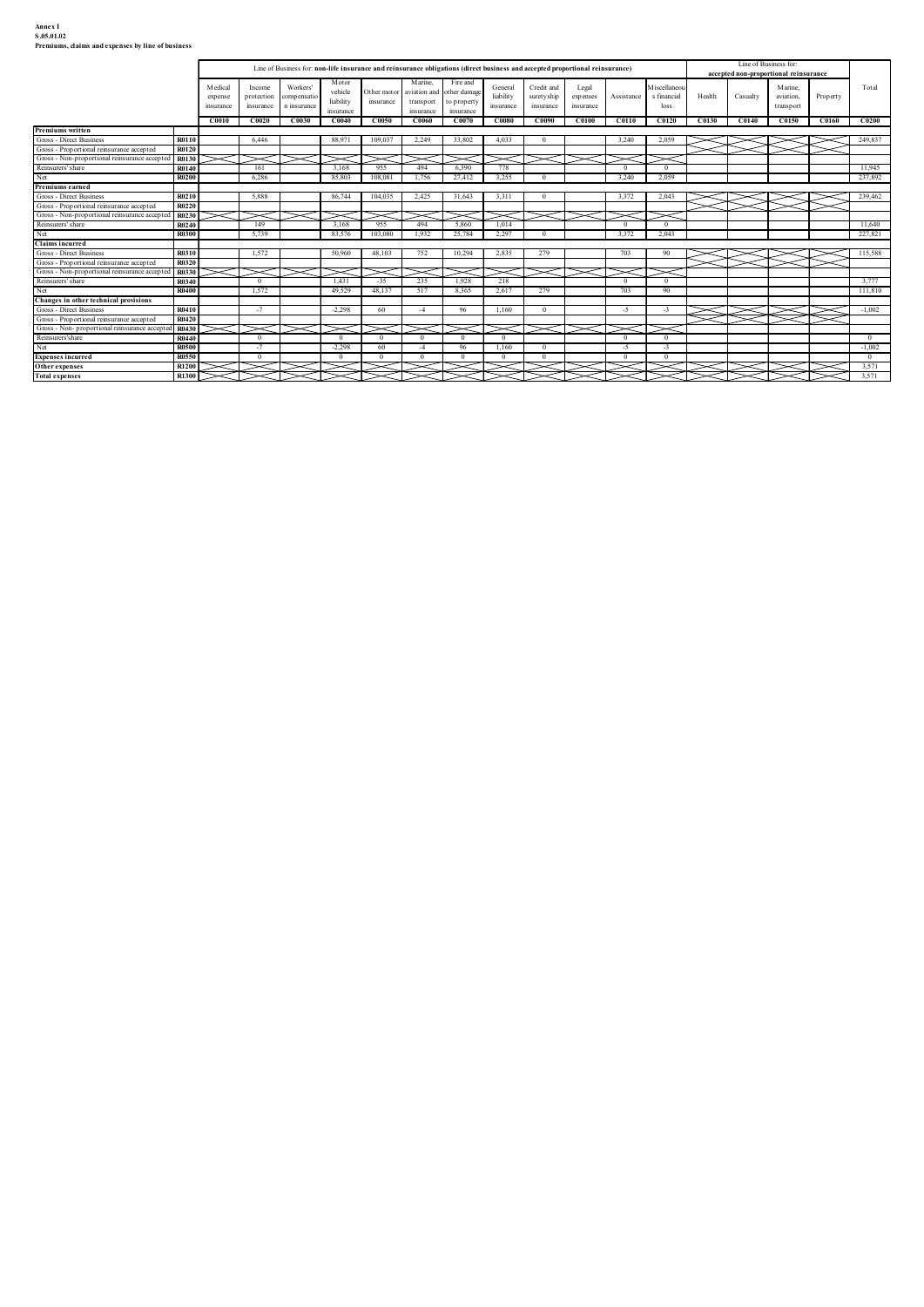## Annex I<br>S.05.01.02<br>Premiums, claims and expenses by line of business

| Annex I<br>S.05.01.02<br>Premiums, claims and expenses by line of business<br>Line of Business for:<br>Line of Business for: non-life insurance and reinsurance obligations (direct business and accepted proportional reinsurance)<br>accepted non-proportional reinsurance<br>Marine,<br>Motor<br>Fire and<br>M iscellaneor<br>Medical<br>Workers'<br>Credit and<br>Marine,<br>Total<br>General<br>Income<br>Legal<br>vehicle<br>other damage<br>Other motor<br>aviation and<br>protection<br>liability<br>suretyship<br>s financial<br>Health<br>aviation,<br>compensatio<br>expenses<br>Assistance<br>Casualty<br>Property<br>expense<br>liability<br>insurance<br>transport<br>o property<br>insurance<br>insurance<br>n insurance<br>insurance<br>insurance<br>insurance<br>loss<br>$\sf transport$<br>insurance<br>insurance<br>insurance<br>C <sub>0130</sub><br>C0150<br>C0160<br>C0200<br>C0010<br>C0020<br>C0030<br>C0040<br>C0050<br>C0060<br>C0070<br>C0080<br>C0090<br>C <sub>0100</sub><br>C <sub>0110</sub><br>C <sub>0120</sub><br>C0140<br>Premiums written<br>R0110<br>109,037<br>2,249<br>3,240<br>Gross - Direct Business<br>6,446<br>88,971<br>33.802<br>4.033<br>2,059<br>249,837<br>$\overline{0}$<br>Gross - Proportional reinsurance accepted<br>R0120<br>Gross - Non-proportional reinsurance accepted R0130<br>X<br>$\check{~}$<br>$\asymp$<br>$\check{~}$<br>Reinsurers' share<br>161<br>3,168<br>955<br>494<br>6,390<br>778<br>11,945<br>R0140<br>$\overline{0}$<br>$\overline{0}$<br>Net<br>R0200<br>6,286<br>85,803<br>108,081 1,756<br>27,412<br>3,255<br>$\overline{0}$<br>3,240<br>2,059<br>237,892<br>Premiums earned<br>Gross - Direct Business<br>R0210<br>5,888<br>86,744<br>$104,035$ 2,425<br>31,643<br>3,311<br>$\overline{0}$<br>3,372<br>2,043<br>239,462<br>Gross - Proportional reinsurance accepted<br>R0220<br>Gross - Non-proportional reinsurance accepted R0230<br>Reinsurers' share<br>3,168<br>955<br>$\sqrt{2}$<br>11,640<br>R0240<br>149<br>494<br>5.860<br>1,014<br>$\overline{0}$<br>Net<br>5,739<br>1,932<br>25,784<br>2,297<br>3,372<br>2,043<br>227,821<br><b>R0300</b><br>83,576<br>103,080<br>$\Omega$<br><b>Claims incurred</b><br>1,572<br>50,960<br>752<br>10,294<br>2,835<br>279<br>703<br>115,588<br>Gross - Direct Business<br>48,103<br>R0310<br>90<br>Gross - Proportional reinsurance accepted<br>R0320<br>V<br>Gross - Non-proportional reinsurance accepted R0330<br>Reinsurers' share<br>1,431<br>$-35$<br>3,777<br>R0340<br>235<br>1,928<br>218<br>$\overline{0}$<br>$\overline{0}$<br>$\overline{0}$<br>Net<br>R0400<br>1,572<br>49,529<br>48,137<br>517<br>8,365<br>2,617<br>279<br>703<br>90<br>111,810<br>Changes in other technical provisions<br>Gross - Direct Business<br>R0410<br>$-2,298$<br>1,160<br>$-1,002$<br>$-7$<br>60<br>96<br>$\overline{0}$<br>$-5$<br>$\ggg$<br>⋚⋚<br>$\geqslant$<br>$-4$<br>$-3$<br>R0420<br>V<br>Gross - Proportional reinsurance accepted<br>Gross - Non-proportional reinsurance accepted R0430<br>X<br>Reinsurers'share<br>R0440<br>$\overline{0}$<br>$\overline{0}$<br>$\overline{0}$<br>$\mathbf{0}$<br>$\overline{0}$<br>$\overline{0}$<br>$\overline{0}$<br>$\overline{0}$<br>$\Omega$<br>Net<br>$-1,002$<br>$-7$<br>$-2,298$<br>60<br>96<br><b>R0500</b><br>$-4$<br>1.160<br>$\theta$<br>$-5$<br>$-3$<br><b>Expenses incurred</b><br>R0550<br>$\overline{0}$<br>$\overline{0}$<br>$\overline{0}$<br>$\overline{0}$<br>$\overline{0}$<br>$\overline{0}$<br>$\overline{0}$<br>$\overline{0}$<br>$\overline{0}$<br>$\overline{0}$<br>3,571<br>R1200<br>Other expenses |  |  |  |  |  |  |  |  |  |  |
|---------------------------------------------------------------------------------------------------------------------------------------------------------------------------------------------------------------------------------------------------------------------------------------------------------------------------------------------------------------------------------------------------------------------------------------------------------------------------------------------------------------------------------------------------------------------------------------------------------------------------------------------------------------------------------------------------------------------------------------------------------------------------------------------------------------------------------------------------------------------------------------------------------------------------------------------------------------------------------------------------------------------------------------------------------------------------------------------------------------------------------------------------------------------------------------------------------------------------------------------------------------------------------------------------------------------------------------------------------------------------------------------------------------------------------------------------------------------------------------------------------------------------------------------------------------------------------------------------------------------------------------------------------------------------------------------------------------------------------------------------------------------------------------------------------------------------------------------------------------------------------------------------------------------------------------------------------------------------------------------------------------------------------------------------------------------------------------------------------------------------------------------------------------------------------------------------------------------------------------------------------------------------------------------------------------------------------------------------------------------------------------------------------------------------------------------------------------------------------------------------------------------------------------------------------------------------------------------------------------------------------------------------------------------------------------------------------------------------------------------------------------------------------------------------------------------------------------------------------------------------------------------------------------------------------------------------------------------------------------------------------------------------------------------------------------------------------------------------------------------------------------------------------------------------------------------------------------------------------------------------------------------------------------------------------------------------------------------------------------------------------------------------------------------------------------------------------------------------------------------------------------------------------------------------------------------------------------------|--|--|--|--|--|--|--|--|--|--|
|                                                                                                                                                                                                                                                                                                                                                                                                                                                                                                                                                                                                                                                                                                                                                                                                                                                                                                                                                                                                                                                                                                                                                                                                                                                                                                                                                                                                                                                                                                                                                                                                                                                                                                                                                                                                                                                                                                                                                                                                                                                                                                                                                                                                                                                                                                                                                                                                                                                                                                                                                                                                                                                                                                                                                                                                                                                                                                                                                                                                                                                                                                                                                                                                                                                                                                                                                                                                                                                                                                                                                                                             |  |  |  |  |  |  |  |  |  |  |
|                                                                                                                                                                                                                                                                                                                                                                                                                                                                                                                                                                                                                                                                                                                                                                                                                                                                                                                                                                                                                                                                                                                                                                                                                                                                                                                                                                                                                                                                                                                                                                                                                                                                                                                                                                                                                                                                                                                                                                                                                                                                                                                                                                                                                                                                                                                                                                                                                                                                                                                                                                                                                                                                                                                                                                                                                                                                                                                                                                                                                                                                                                                                                                                                                                                                                                                                                                                                                                                                                                                                                                                             |  |  |  |  |  |  |  |  |  |  |
|                                                                                                                                                                                                                                                                                                                                                                                                                                                                                                                                                                                                                                                                                                                                                                                                                                                                                                                                                                                                                                                                                                                                                                                                                                                                                                                                                                                                                                                                                                                                                                                                                                                                                                                                                                                                                                                                                                                                                                                                                                                                                                                                                                                                                                                                                                                                                                                                                                                                                                                                                                                                                                                                                                                                                                                                                                                                                                                                                                                                                                                                                                                                                                                                                                                                                                                                                                                                                                                                                                                                                                                             |  |  |  |  |  |  |  |  |  |  |
|                                                                                                                                                                                                                                                                                                                                                                                                                                                                                                                                                                                                                                                                                                                                                                                                                                                                                                                                                                                                                                                                                                                                                                                                                                                                                                                                                                                                                                                                                                                                                                                                                                                                                                                                                                                                                                                                                                                                                                                                                                                                                                                                                                                                                                                                                                                                                                                                                                                                                                                                                                                                                                                                                                                                                                                                                                                                                                                                                                                                                                                                                                                                                                                                                                                                                                                                                                                                                                                                                                                                                                                             |  |  |  |  |  |  |  |  |  |  |
|                                                                                                                                                                                                                                                                                                                                                                                                                                                                                                                                                                                                                                                                                                                                                                                                                                                                                                                                                                                                                                                                                                                                                                                                                                                                                                                                                                                                                                                                                                                                                                                                                                                                                                                                                                                                                                                                                                                                                                                                                                                                                                                                                                                                                                                                                                                                                                                                                                                                                                                                                                                                                                                                                                                                                                                                                                                                                                                                                                                                                                                                                                                                                                                                                                                                                                                                                                                                                                                                                                                                                                                             |  |  |  |  |  |  |  |  |  |  |
|                                                                                                                                                                                                                                                                                                                                                                                                                                                                                                                                                                                                                                                                                                                                                                                                                                                                                                                                                                                                                                                                                                                                                                                                                                                                                                                                                                                                                                                                                                                                                                                                                                                                                                                                                                                                                                                                                                                                                                                                                                                                                                                                                                                                                                                                                                                                                                                                                                                                                                                                                                                                                                                                                                                                                                                                                                                                                                                                                                                                                                                                                                                                                                                                                                                                                                                                                                                                                                                                                                                                                                                             |  |  |  |  |  |  |  |  |  |  |
|                                                                                                                                                                                                                                                                                                                                                                                                                                                                                                                                                                                                                                                                                                                                                                                                                                                                                                                                                                                                                                                                                                                                                                                                                                                                                                                                                                                                                                                                                                                                                                                                                                                                                                                                                                                                                                                                                                                                                                                                                                                                                                                                                                                                                                                                                                                                                                                                                                                                                                                                                                                                                                                                                                                                                                                                                                                                                                                                                                                                                                                                                                                                                                                                                                                                                                                                                                                                                                                                                                                                                                                             |  |  |  |  |  |  |  |  |  |  |
|                                                                                                                                                                                                                                                                                                                                                                                                                                                                                                                                                                                                                                                                                                                                                                                                                                                                                                                                                                                                                                                                                                                                                                                                                                                                                                                                                                                                                                                                                                                                                                                                                                                                                                                                                                                                                                                                                                                                                                                                                                                                                                                                                                                                                                                                                                                                                                                                                                                                                                                                                                                                                                                                                                                                                                                                                                                                                                                                                                                                                                                                                                                                                                                                                                                                                                                                                                                                                                                                                                                                                                                             |  |  |  |  |  |  |  |  |  |  |
|                                                                                                                                                                                                                                                                                                                                                                                                                                                                                                                                                                                                                                                                                                                                                                                                                                                                                                                                                                                                                                                                                                                                                                                                                                                                                                                                                                                                                                                                                                                                                                                                                                                                                                                                                                                                                                                                                                                                                                                                                                                                                                                                                                                                                                                                                                                                                                                                                                                                                                                                                                                                                                                                                                                                                                                                                                                                                                                                                                                                                                                                                                                                                                                                                                                                                                                                                                                                                                                                                                                                                                                             |  |  |  |  |  |  |  |  |  |  |
|                                                                                                                                                                                                                                                                                                                                                                                                                                                                                                                                                                                                                                                                                                                                                                                                                                                                                                                                                                                                                                                                                                                                                                                                                                                                                                                                                                                                                                                                                                                                                                                                                                                                                                                                                                                                                                                                                                                                                                                                                                                                                                                                                                                                                                                                                                                                                                                                                                                                                                                                                                                                                                                                                                                                                                                                                                                                                                                                                                                                                                                                                                                                                                                                                                                                                                                                                                                                                                                                                                                                                                                             |  |  |  |  |  |  |  |  |  |  |
|                                                                                                                                                                                                                                                                                                                                                                                                                                                                                                                                                                                                                                                                                                                                                                                                                                                                                                                                                                                                                                                                                                                                                                                                                                                                                                                                                                                                                                                                                                                                                                                                                                                                                                                                                                                                                                                                                                                                                                                                                                                                                                                                                                                                                                                                                                                                                                                                                                                                                                                                                                                                                                                                                                                                                                                                                                                                                                                                                                                                                                                                                                                                                                                                                                                                                                                                                                                                                                                                                                                                                                                             |  |  |  |  |  |  |  |  |  |  |
|                                                                                                                                                                                                                                                                                                                                                                                                                                                                                                                                                                                                                                                                                                                                                                                                                                                                                                                                                                                                                                                                                                                                                                                                                                                                                                                                                                                                                                                                                                                                                                                                                                                                                                                                                                                                                                                                                                                                                                                                                                                                                                                                                                                                                                                                                                                                                                                                                                                                                                                                                                                                                                                                                                                                                                                                                                                                                                                                                                                                                                                                                                                                                                                                                                                                                                                                                                                                                                                                                                                                                                                             |  |  |  |  |  |  |  |  |  |  |
|                                                                                                                                                                                                                                                                                                                                                                                                                                                                                                                                                                                                                                                                                                                                                                                                                                                                                                                                                                                                                                                                                                                                                                                                                                                                                                                                                                                                                                                                                                                                                                                                                                                                                                                                                                                                                                                                                                                                                                                                                                                                                                                                                                                                                                                                                                                                                                                                                                                                                                                                                                                                                                                                                                                                                                                                                                                                                                                                                                                                                                                                                                                                                                                                                                                                                                                                                                                                                                                                                                                                                                                             |  |  |  |  |  |  |  |  |  |  |
|                                                                                                                                                                                                                                                                                                                                                                                                                                                                                                                                                                                                                                                                                                                                                                                                                                                                                                                                                                                                                                                                                                                                                                                                                                                                                                                                                                                                                                                                                                                                                                                                                                                                                                                                                                                                                                                                                                                                                                                                                                                                                                                                                                                                                                                                                                                                                                                                                                                                                                                                                                                                                                                                                                                                                                                                                                                                                                                                                                                                                                                                                                                                                                                                                                                                                                                                                                                                                                                                                                                                                                                             |  |  |  |  |  |  |  |  |  |  |
|                                                                                                                                                                                                                                                                                                                                                                                                                                                                                                                                                                                                                                                                                                                                                                                                                                                                                                                                                                                                                                                                                                                                                                                                                                                                                                                                                                                                                                                                                                                                                                                                                                                                                                                                                                                                                                                                                                                                                                                                                                                                                                                                                                                                                                                                                                                                                                                                                                                                                                                                                                                                                                                                                                                                                                                                                                                                                                                                                                                                                                                                                                                                                                                                                                                                                                                                                                                                                                                                                                                                                                                             |  |  |  |  |  |  |  |  |  |  |
|                                                                                                                                                                                                                                                                                                                                                                                                                                                                                                                                                                                                                                                                                                                                                                                                                                                                                                                                                                                                                                                                                                                                                                                                                                                                                                                                                                                                                                                                                                                                                                                                                                                                                                                                                                                                                                                                                                                                                                                                                                                                                                                                                                                                                                                                                                                                                                                                                                                                                                                                                                                                                                                                                                                                                                                                                                                                                                                                                                                                                                                                                                                                                                                                                                                                                                                                                                                                                                                                                                                                                                                             |  |  |  |  |  |  |  |  |  |  |
|                                                                                                                                                                                                                                                                                                                                                                                                                                                                                                                                                                                                                                                                                                                                                                                                                                                                                                                                                                                                                                                                                                                                                                                                                                                                                                                                                                                                                                                                                                                                                                                                                                                                                                                                                                                                                                                                                                                                                                                                                                                                                                                                                                                                                                                                                                                                                                                                                                                                                                                                                                                                                                                                                                                                                                                                                                                                                                                                                                                                                                                                                                                                                                                                                                                                                                                                                                                                                                                                                                                                                                                             |  |  |  |  |  |  |  |  |  |  |
|                                                                                                                                                                                                                                                                                                                                                                                                                                                                                                                                                                                                                                                                                                                                                                                                                                                                                                                                                                                                                                                                                                                                                                                                                                                                                                                                                                                                                                                                                                                                                                                                                                                                                                                                                                                                                                                                                                                                                                                                                                                                                                                                                                                                                                                                                                                                                                                                                                                                                                                                                                                                                                                                                                                                                                                                                                                                                                                                                                                                                                                                                                                                                                                                                                                                                                                                                                                                                                                                                                                                                                                             |  |  |  |  |  |  |  |  |  |  |
|                                                                                                                                                                                                                                                                                                                                                                                                                                                                                                                                                                                                                                                                                                                                                                                                                                                                                                                                                                                                                                                                                                                                                                                                                                                                                                                                                                                                                                                                                                                                                                                                                                                                                                                                                                                                                                                                                                                                                                                                                                                                                                                                                                                                                                                                                                                                                                                                                                                                                                                                                                                                                                                                                                                                                                                                                                                                                                                                                                                                                                                                                                                                                                                                                                                                                                                                                                                                                                                                                                                                                                                             |  |  |  |  |  |  |  |  |  |  |
|                                                                                                                                                                                                                                                                                                                                                                                                                                                                                                                                                                                                                                                                                                                                                                                                                                                                                                                                                                                                                                                                                                                                                                                                                                                                                                                                                                                                                                                                                                                                                                                                                                                                                                                                                                                                                                                                                                                                                                                                                                                                                                                                                                                                                                                                                                                                                                                                                                                                                                                                                                                                                                                                                                                                                                                                                                                                                                                                                                                                                                                                                                                                                                                                                                                                                                                                                                                                                                                                                                                                                                                             |  |  |  |  |  |  |  |  |  |  |
|                                                                                                                                                                                                                                                                                                                                                                                                                                                                                                                                                                                                                                                                                                                                                                                                                                                                                                                                                                                                                                                                                                                                                                                                                                                                                                                                                                                                                                                                                                                                                                                                                                                                                                                                                                                                                                                                                                                                                                                                                                                                                                                                                                                                                                                                                                                                                                                                                                                                                                                                                                                                                                                                                                                                                                                                                                                                                                                                                                                                                                                                                                                                                                                                                                                                                                                                                                                                                                                                                                                                                                                             |  |  |  |  |  |  |  |  |  |  |
|                                                                                                                                                                                                                                                                                                                                                                                                                                                                                                                                                                                                                                                                                                                                                                                                                                                                                                                                                                                                                                                                                                                                                                                                                                                                                                                                                                                                                                                                                                                                                                                                                                                                                                                                                                                                                                                                                                                                                                                                                                                                                                                                                                                                                                                                                                                                                                                                                                                                                                                                                                                                                                                                                                                                                                                                                                                                                                                                                                                                                                                                                                                                                                                                                                                                                                                                                                                                                                                                                                                                                                                             |  |  |  |  |  |  |  |  |  |  |
|                                                                                                                                                                                                                                                                                                                                                                                                                                                                                                                                                                                                                                                                                                                                                                                                                                                                                                                                                                                                                                                                                                                                                                                                                                                                                                                                                                                                                                                                                                                                                                                                                                                                                                                                                                                                                                                                                                                                                                                                                                                                                                                                                                                                                                                                                                                                                                                                                                                                                                                                                                                                                                                                                                                                                                                                                                                                                                                                                                                                                                                                                                                                                                                                                                                                                                                                                                                                                                                                                                                                                                                             |  |  |  |  |  |  |  |  |  |  |
|                                                                                                                                                                                                                                                                                                                                                                                                                                                                                                                                                                                                                                                                                                                                                                                                                                                                                                                                                                                                                                                                                                                                                                                                                                                                                                                                                                                                                                                                                                                                                                                                                                                                                                                                                                                                                                                                                                                                                                                                                                                                                                                                                                                                                                                                                                                                                                                                                                                                                                                                                                                                                                                                                                                                                                                                                                                                                                                                                                                                                                                                                                                                                                                                                                                                                                                                                                                                                                                                                                                                                                                             |  |  |  |  |  |  |  |  |  |  |
|                                                                                                                                                                                                                                                                                                                                                                                                                                                                                                                                                                                                                                                                                                                                                                                                                                                                                                                                                                                                                                                                                                                                                                                                                                                                                                                                                                                                                                                                                                                                                                                                                                                                                                                                                                                                                                                                                                                                                                                                                                                                                                                                                                                                                                                                                                                                                                                                                                                                                                                                                                                                                                                                                                                                                                                                                                                                                                                                                                                                                                                                                                                                                                                                                                                                                                                                                                                                                                                                                                                                                                                             |  |  |  |  |  |  |  |  |  |  |
|                                                                                                                                                                                                                                                                                                                                                                                                                                                                                                                                                                                                                                                                                                                                                                                                                                                                                                                                                                                                                                                                                                                                                                                                                                                                                                                                                                                                                                                                                                                                                                                                                                                                                                                                                                                                                                                                                                                                                                                                                                                                                                                                                                                                                                                                                                                                                                                                                                                                                                                                                                                                                                                                                                                                                                                                                                                                                                                                                                                                                                                                                                                                                                                                                                                                                                                                                                                                                                                                                                                                                                                             |  |  |  |  |  |  |  |  |  |  |
|                                                                                                                                                                                                                                                                                                                                                                                                                                                                                                                                                                                                                                                                                                                                                                                                                                                                                                                                                                                                                                                                                                                                                                                                                                                                                                                                                                                                                                                                                                                                                                                                                                                                                                                                                                                                                                                                                                                                                                                                                                                                                                                                                                                                                                                                                                                                                                                                                                                                                                                                                                                                                                                                                                                                                                                                                                                                                                                                                                                                                                                                                                                                                                                                                                                                                                                                                                                                                                                                                                                                                                                             |  |  |  |  |  |  |  |  |  |  |
|                                                                                                                                                                                                                                                                                                                                                                                                                                                                                                                                                                                                                                                                                                                                                                                                                                                                                                                                                                                                                                                                                                                                                                                                                                                                                                                                                                                                                                                                                                                                                                                                                                                                                                                                                                                                                                                                                                                                                                                                                                                                                                                                                                                                                                                                                                                                                                                                                                                                                                                                                                                                                                                                                                                                                                                                                                                                                                                                                                                                                                                                                                                                                                                                                                                                                                                                                                                                                                                                                                                                                                                             |  |  |  |  |  |  |  |  |  |  |
| R1300<br>3,571                                                                                                                                                                                                                                                                                                                                                                                                                                                                                                                                                                                                                                                                                                                                                                                                                                                                                                                                                                                                                                                                                                                                                                                                                                                                                                                                                                                                                                                                                                                                                                                                                                                                                                                                                                                                                                                                                                                                                                                                                                                                                                                                                                                                                                                                                                                                                                                                                                                                                                                                                                                                                                                                                                                                                                                                                                                                                                                                                                                                                                                                                                                                                                                                                                                                                                                                                                                                                                                                                                                                                                              |  |  |  |  |  |  |  |  |  |  |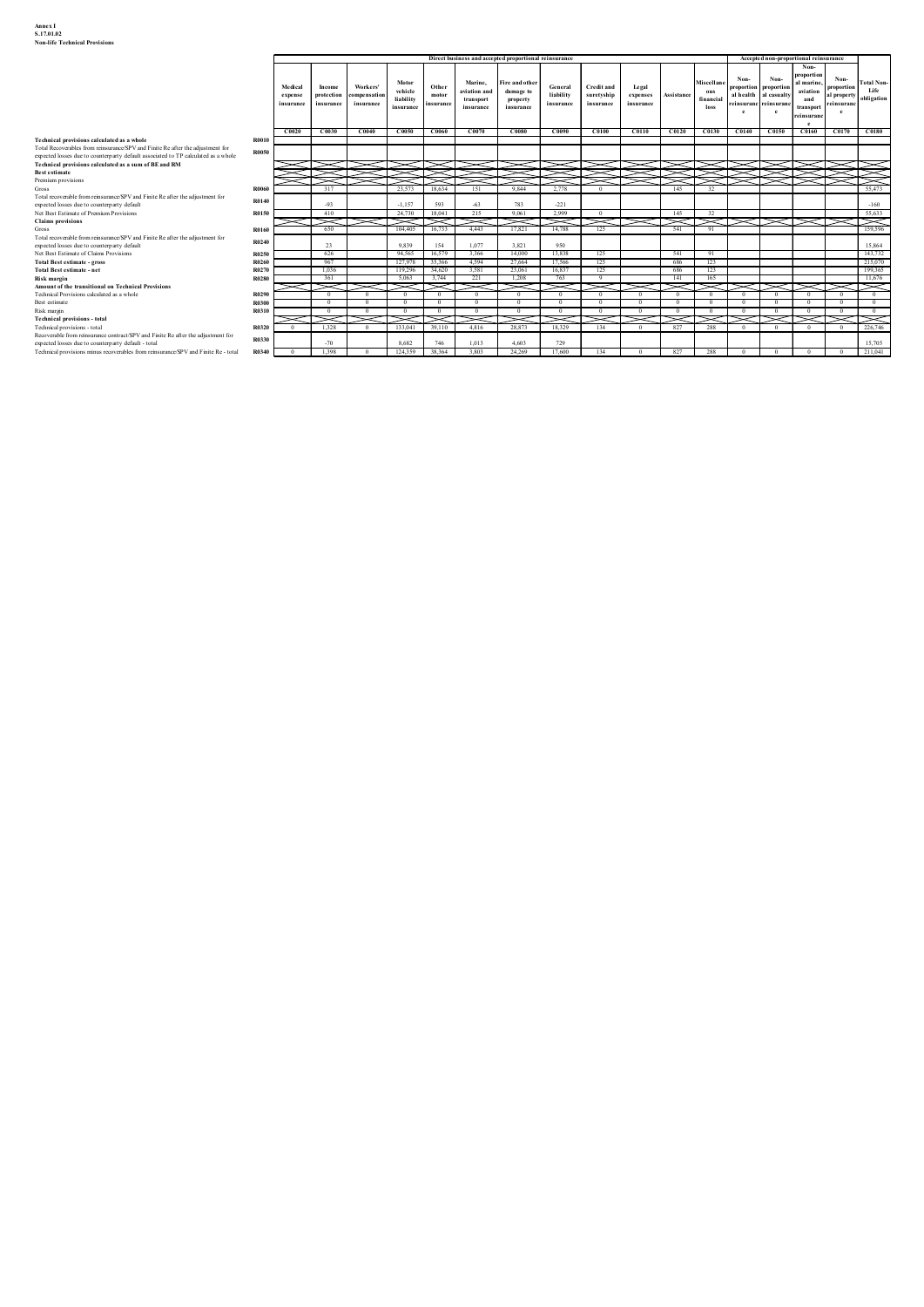| <b>Non-life Technical Provisions</b>                                                                                                                                                      |                      |                         |                                                  |                                          |                         |                            |                                                       |                         |                       |                                |                            |                                |                                  |                                                                         |                             |
|-------------------------------------------------------------------------------------------------------------------------------------------------------------------------------------------|----------------------|-------------------------|--------------------------------------------------|------------------------------------------|-------------------------|----------------------------|-------------------------------------------------------|-------------------------|-----------------------|--------------------------------|----------------------------|--------------------------------|----------------------------------|-------------------------------------------------------------------------|-----------------------------|
|                                                                                                                                                                                           |                      |                         |                                                  |                                          |                         |                            | Direct business and accepted proportional reinsurance |                         |                       |                                |                            |                                |                                  | Accepted non-proportional reinsurance<br>Non-                           |                             |
|                                                                                                                                                                                           | Medical              | Income                  | Motor<br>Workers'                                | Other<br>vehicle<br>motor                | Marine,<br>aviation and | Fire and othe<br>damage to | General<br>liability                                  | <b>Credit and</b>       | Legal                 | Assistano                      | Miscellan<br>$_{\rm{ous}}$ | Non-<br>roportion<br>al health | Non-<br>proportio<br>al casualty | oportion<br>Non-<br>al marine<br>proportion<br>aviation                 | <b>Total Non</b><br>Life    |
|                                                                                                                                                                                           | expense<br>insurance | protection<br>insurance | ompensatio<br>liability<br>insurance<br>insurano | insurano                                 | transport<br>insurance  | property<br>insurance      | insurance                                             | suretyship<br>insurance | expenses<br>insurance |                                | financial<br>loss          | nsurai                         | einsuran<br>$\mathbf{e}$         | al property<br>and<br>einsuranc<br>ransport<br>$\mathbf{e}$<br>einsuran | obligation                  |
|                                                                                                                                                                                           |                      |                         | CO040                                            | $CO050$ $CO060$                          | CO070                   | C0080                      | CO090                                                 | CO100                   | CO110                 |                                | C0120 C0130 C0140          |                                |                                  | $\mathbf{e}$<br>$C0150$ $C0160$                                         | $CO170$ $CO180$             |
| Technical provisions calculated as a whole<br><b>R0010</b>                                                                                                                                | CO020                | C0030                   |                                                  |                                          |                         |                            |                                                       |                         |                       |                                |                            |                                |                                  |                                                                         |                             |
| Total Recoverables from reinsurance/SPV and Finite Re after the adjustment for<br><b>R0050</b><br>expected losses due to counterparty default associated to TP calculated as a whole      |                      |                         |                                                  |                                          |                         |                            |                                                       |                         |                       |                                |                            |                                |                                  |                                                                         |                             |
| Technical provisions calculated as a sum of BE and RM                                                                                                                                     |                      |                         |                                                  | ਾ>                                       |                         | V                          |                                                       |                         |                       |                                |                            |                                |                                  | ≋                                                                       |                             |
| R006<br>Total recoverable from reinsurance/SPV and Finite Re after the adjustment for                                                                                                     |                      | 317                     | 23,573                                           | 18,634                                   | ਿਲ≭<br>151              | 9,844                      | ञ्≫<br>2,778                                          |                         |                       | 145                            | 美国家<br>32                  |                                |                                  |                                                                         | 55.473                      |
| R0140<br>expected losses due to counterparty default<br>Net Best Estimate of Premium Provisions<br>R0150                                                                                  |                      | $-93$<br>410            |                                                  | $-1.157$<br>593<br>24,730 18,041         | $-63$<br>215            | 783<br>9,061               | $-221$<br>2,999                                       | $\overline{0}$          |                       | 145                            | $\overline{32}$            |                                |                                  |                                                                         | $-160$<br>55,633            |
| R0160                                                                                                                                                                                     |                      | ≂ব<br>650               |                                                  | চ্ব্ৰচ্ব<br>104,405<br>16,733            | -<br>4,443              | X<br>17,821                | N<br>14,788                                           | $\asymp$<br>125         |                       | $\geq$<br>541                  | $>\!\!<$ l<br>91           |                                |                                  |                                                                         | ⋝<br>159,596                |
| Total recoverable from reinsurance/SPV and Finite Re after the adjustment for<br>R0240<br>expected losses due to counterparty default                                                     |                      | 23                      | 9.839                                            | 154                                      | 1.077                   | 3.821                      | 950                                                   |                         |                       |                                |                            |                                |                                  |                                                                         | 15,864                      |
| Net Best Estimate of Claims Provisions<br>R0250<br>Total Best estimate - gross<br><b>R0260</b>                                                                                            |                      | 626<br>967              |                                                  | 94,565 16,579<br>127,978 35,366          | 3,366<br>4,594          | 14,000<br>27,664           | 13,838<br>17,566                                      | 125<br>125              |                       | 541<br>686                     | 91<br>123                  |                                |                                  |                                                                         | 143,732<br>215,070          |
| R0270<br>Total Best estimate - net<br><b>R0280</b>                                                                                                                                        |                      | $-1.036$<br>361         | 5,063                                            | 119.296 34.620<br>3,744                  | 3.581<br>221            | 23.061<br>1,208            | 16.837<br>763                                         | 125                     |                       | 686<br>141                     | 123<br>165                 |                                |                                  |                                                                         | 199,365<br>11,676           |
| Amount of the transitional on Technical Provisions<br>R0290<br>Technical Provisions calculated as a whole                                                                                 |                      | ≂<br>$\overline{0}$     | ≂<br>$\overline{0}$<br>$\sim$                    | ⋝<br>$\sim$ 0                            | $\overline{0}$          | ≂<br>$\overline{0}$        | ≂<br>$\sim$                                           | N<br>$\overline{0}$     | $\overline{0}$        | $\checkmark$<br>$\sim$ 0       | ≂⊤<br>$\sim$ 0             | $^{\circ}$                     | $\overline{0}$                   | $\sim$<br>$\sim$ 0                                                      | ⋝<br>$\sim$ 0               |
| R0300<br>R0310                                                                                                                                                                            |                      | $\mathbf{0}$            | $\Omega$<br>$\sim$ 0                             | $\mathbf{0}$<br>$\overline{\phantom{a}}$ | $\overline{0}$          | $\overline{0}$             | $\overline{0}$<br>$\overline{0}$                      | $\overline{0}$          | $\overline{0}$        | $\mathbf{0}$<br>$\overline{0}$ | $\overline{0}$<br>$\sim$   | $\mathbf{0}$<br>$\sim$ 0       |                                  | $\mathbf{0}$<br>$^{\circ}$<br>$\overline{0}$ $\overline{0}$             | $\mathbf{0}$<br>$0 \quad 0$ |
| Technical provisions - total                                                                                                                                                              | $\overline{0}$       |                         | $\mathbf{0}$                                     | $\blacktriangleright$                    |                         | ∽                          | V                                                     | ∽                       | $\overline{0}$        | N                              | $\asymp$                   | $\sim$ 0                       | $\overline{0}$                   | $\approx\approx\approx$<br>$\overline{\phantom{0}}$                     |                             |
| Technical provisions - total<br>R0320<br>Recoverable from reinsurance contract/SPV and Finite Re after the adjustment for<br>R0330<br>expected losses due to counterparty default - total |                      | 1,328<br>$-70$          | 8.682                                            | 133,041<br>39,110<br>746                 | 4,816<br>1.013          | 28,873<br>4.603            | 18,329<br>729                                         | 134                     |                       | 827                            | 288                        |                                |                                  | $\overline{0}$                                                          | 226,746<br>15.705           |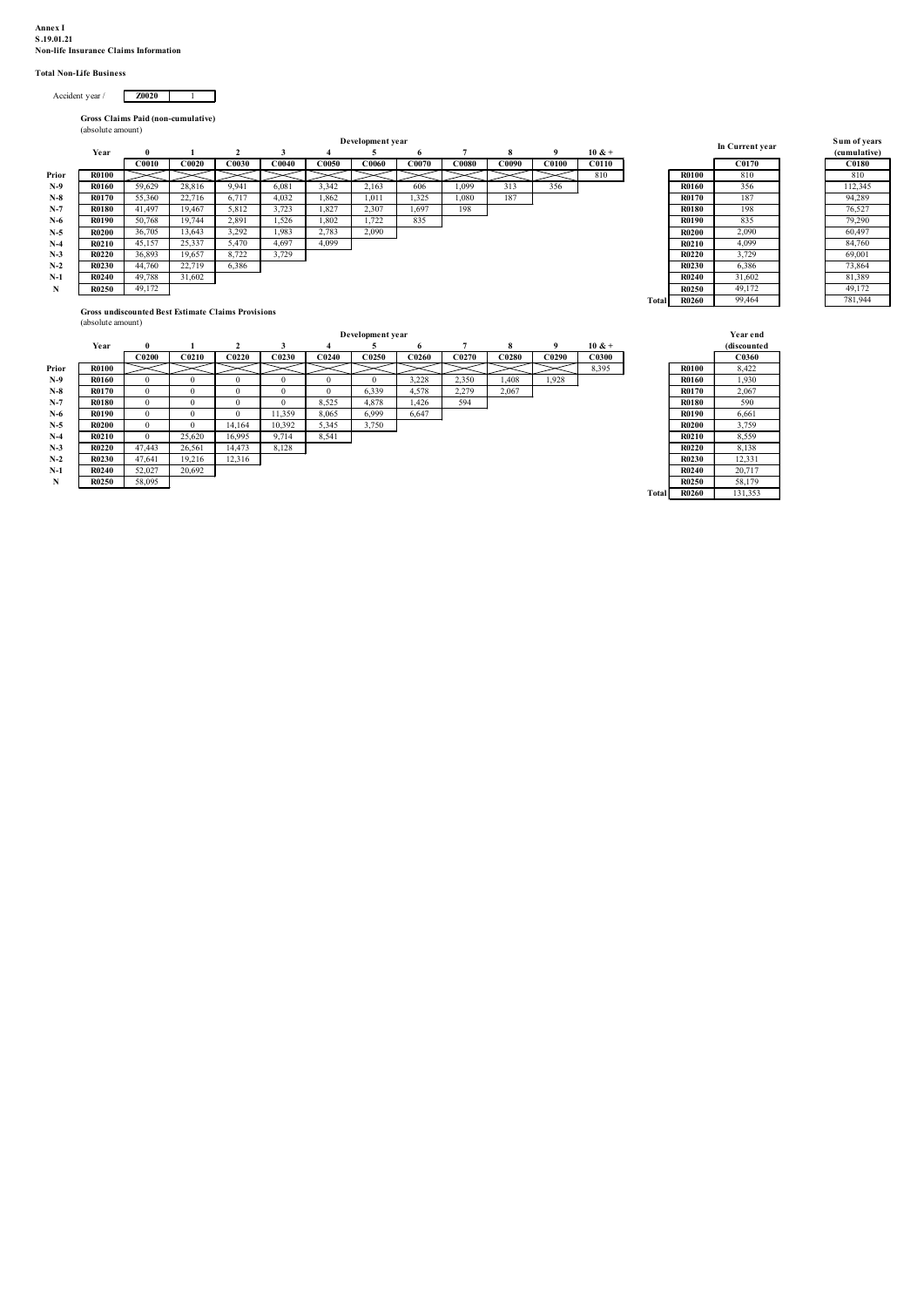# Annex I<br>S.19.01.21<br>Non-life Insurance Claims Information<br>Total Non-Life Business

| Accident vear/ | Z0020 |  |
|----------------|-------|--|

| ınex I<br>19.01.21<br>tal Non-Life Business<br>Accident year /                                                                                                                                                                                                                                           | on-life Insurance Claims Information<br><b>Z0020</b><br>$\frac{1}{2}$                                                                                                                                                                                                                                                                                                                                                                                                                                                                                                                                                                                                                                                                                                                                                                                                                                                                                                                                                                                                                                                                               |                                                                                                                                                                                                                                                                                                                          |                                                                                                                                                                     |
|----------------------------------------------------------------------------------------------------------------------------------------------------------------------------------------------------------------------------------------------------------------------------------------------------------|-----------------------------------------------------------------------------------------------------------------------------------------------------------------------------------------------------------------------------------------------------------------------------------------------------------------------------------------------------------------------------------------------------------------------------------------------------------------------------------------------------------------------------------------------------------------------------------------------------------------------------------------------------------------------------------------------------------------------------------------------------------------------------------------------------------------------------------------------------------------------------------------------------------------------------------------------------------------------------------------------------------------------------------------------------------------------------------------------------------------------------------------------------|--------------------------------------------------------------------------------------------------------------------------------------------------------------------------------------------------------------------------------------------------------------------------------------------------------------------------|---------------------------------------------------------------------------------------------------------------------------------------------------------------------|
| Year<br><b>R0100</b><br>Prior<br>N-9<br>R0160<br>$N-8$<br>R0170<br>$N-7$<br><b>R0180</b><br>$N-6$<br><b>R0190</b><br>$N-5$<br><b>R0200</b><br>$N-4$<br>R0210<br>$N-3$<br><b>R0220</b><br>$N-2$<br>R0230<br>$N-1$<br><b>R0240</b><br>$\mathbf N$<br>R0250                                                 | Gross Claims Paid (non-cumulative)<br>(absolute amount)<br>Development year<br>$\overline{2}$<br>3<br>$\overline{5}$<br>$10 & +$<br>$\bf{0}$<br>$\overline{7}$<br>8<br>9<br>$\blacksquare$<br>$\overline{4}$<br>- 6<br>C0010<br>C0020<br>C0030<br>C <sub>0040</sub><br>C0050<br>C0060<br>C0070<br>C0080<br>C <sub>00</sub> <sub>3</sub> <sup>0</sup><br>C <sub>0100</sub><br>C <sub>0110</sub><br>810<br>$>\!<$<br>$>\!<$<br>$>\!$<br>$>\!<$<br>$>\!<$<br>$>\,$<br>$>\!<$<br>$\prec$<br>$\asymp$<br>356<br>59,629<br>28,816<br>9,941<br>6,081<br>3,342<br>2,163<br>606<br>1,099<br>313<br>55,360<br>22,716<br>6,717<br>4,032<br>1,862<br>1,011<br>1,325<br>1,080<br>187<br>5,812<br>3,723<br>1,827<br>2,307<br>198<br>41,497<br>19,467<br>1,697<br>2,891<br>1,722<br>50,768<br>19,744<br>1,526<br>1,802<br>835<br>2,783<br>2,090<br>13,643<br>3,292<br>1,983<br>36,705<br>45,157<br>25,337<br>5,470<br>4,697<br>4,099<br>8,722<br>3,729<br>36,893<br>19,657<br>44,760<br>22,719<br>6,386<br>49,788<br>31,602<br>49,172<br>Gross undiscounted Best Estimate Claims Provisions                                                                        | In Current year<br>C0170<br><b>R0100</b><br>810<br><b>R0160</b><br>356<br><b>R0170</b><br>187<br><b>R0180</b><br>198<br>835<br>R0190<br><b>R0200</b><br>2,090<br>R0210<br>4,099<br><b>R0220</b><br>3,729<br>R0230<br>6,386<br><b>R0240</b><br>31,602<br>49,172<br><b>R0250</b><br><b>R0260</b><br>99,464<br><b>Total</b> | Sum of years<br>(cumulative)<br><b>C0180</b><br>810<br>112,345<br>94,289<br>76,527<br>79,290<br>60,497<br>84,760<br>69,001<br>73,864<br>81,389<br>49,172<br>781,944 |
| Year<br>Prior<br><b>R0100</b><br>$N-9$<br>R0160<br>$N-8$<br><b>R0170</b><br>$N-7$<br><b>R0180</b><br>$N-6$<br><b>R0190</b><br>$N-5$<br><b>R0200</b><br>$N-4$<br>R0210<br>$N-3$<br><b>R0220</b><br>$\mathbf{N}\text{-}\mathbf{2}$<br><b>R0230</b><br>$N-1$<br><b>R0240</b><br>$\mathbf N$<br><b>R0250</b> | (absolute amount)<br>Development year<br>$\overline{2}$<br>$\overline{5}$<br>$7\overline{ }$<br>$10 & +$<br>3<br>$\overline{4}$<br>8<br>- 9<br>$\mathbf{0}$<br>- 1<br>- 6<br>C <sub>0290</sub><br>$\bf C0200$<br>C <sub>0210</sub><br>C0220<br>C0230<br>C <sub>0240</sub><br>C0250<br>C0260<br>C0270<br>$\bf C0280$<br>C0300<br>$\gt$<br>$>\!<$<br>$\gt$<br>$>\!<$<br>$>\!<$<br>$>\!<$<br>$>\!<$<br>$>\!<$<br>$>\!<$<br>$>\!<$<br>8,395<br>$\overline{0}$<br>$\overline{0}$<br>$\overline{0}$<br>$\overline{0}$<br>$\overline{0}$<br>3,228<br>2,350<br>1,408<br>1,928<br>$\overline{0}$<br>6,339<br>2,279<br>$\overline{0}$<br>$\overline{0}$<br>$\overline{0}$<br>$\overline{0}$<br>$\overline{0}$<br>4,578<br>2,067<br>8,525<br>594<br>$\overline{0}$<br>$\overline{0}$<br>$\overline{0}$<br>$\overline{0}$<br>4,878<br>1,426<br>11,359<br>8,065<br>6,647<br>6,999<br>$\overline{0}$<br>$\bf{0}$<br>$\overline{0}$<br>5,345<br>14,164<br>10,392<br>3,750<br>$\overline{0}$<br>$\overline{0}$<br>25,620<br>16,995<br>9,714<br>8,541<br>$\overline{0}$<br>47,443<br>26,561 14,473 8,128<br>19,216<br>12,316<br>47,641<br>20,692<br>52,027<br>58,095 | Year end<br>(discounted<br>C0360<br><b>R0100</b><br>8,422<br><b>R0160</b><br>1,930<br><b>R0170</b><br>2,067<br><b>R0180</b><br>590<br><b>R0190</b><br>6,661<br>3,759<br><b>R0200</b><br>R0210<br>8,559<br><b>R0220</b><br>8,138<br>12,331<br>R0230<br>20,717<br>R0240<br>58,179<br>R0250<br>131,353<br>R0260<br>Total    |                                                                                                                                                                     |
|                                                                                                                                                                                                                                                                                                          |                                                                                                                                                                                                                                                                                                                                                                                                                                                                                                                                                                                                                                                                                                                                                                                                                                                                                                                                                                                                                                                                                                                                                     |                                                                                                                                                                                                                                                                                                                          |                                                                                                                                                                     |

| Sum of years<br>(cumulative) |
|------------------------------|
| C0180                        |
| 810                          |
| 112,345                      |
| 94,289                       |
| 76,527                       |
| 79,290                       |
| 60,497                       |
| 84,760                       |
| 69,001                       |
| 73,864                       |
| 81,389                       |
| 49,172                       |
| 781,944                      |

|       |              |              |                   |                   |              |                   | Development year |       |                   |       |       |              |
|-------|--------------|--------------|-------------------|-------------------|--------------|-------------------|------------------|-------|-------------------|-------|-------|--------------|
|       | Year         | $\theta$     |                   | 2                 | 3            | 4                 | э                | 6     | 7                 | 8     | 9     | $10 & +$     |
|       |              | <b>C0200</b> | C <sub>0210</sub> | C <sub>0220</sub> | C0230        | C <sub>0240</sub> | C0250            | C0260 | C <sub>0270</sub> | C0280 | C0290 | <b>C0300</b> |
| Prior | <b>R0100</b> |              |                   |                   |              |                   |                  |       |                   |       |       | 8,395        |
| $N-9$ | R0160        | $\bf{0}$     | $\Omega$          | $\bf{0}$          | $\mathbf{0}$ | $\mathbf{0}$      | $\Omega$         | 3,228 | 2,350             | 1.408 | 1,928 |              |
| $N-8$ | <b>R0170</b> | $\Omega$     | $\Omega$          | $\mathbf{0}$      | $\Omega$     | $\Omega$          | 6,339            | 4,578 | 2,279             | 2,067 |       |              |
| $N-7$ | <b>R0180</b> | $\mathbf{0}$ | $\bf{0}$          | $\mathbf{0}$      | $\mathbf{0}$ | 8,525             | 4,878            | 1,426 | 594               |       |       |              |
| $N-6$ | R0190        | $\bf{0}$     | $\Omega$          | $\mathbf{0}$      | 11,359       | 8,065             | 6,999            | 6,647 |                   |       |       |              |
| $N-5$ | <b>R0200</b> | $\Omega$     | $\Omega$          | 14.164            | 10,392       | 5,345             | 3,750            |       |                   |       |       |              |
| N-4   | R0210        | $\mathbf{0}$ | 25,620            | 16,995            | 9,714        | 8,541             |                  |       |                   |       |       |              |
| $N-3$ | <b>R0220</b> | 47.443       | 26,561            | 14.473            | 8,128        |                   |                  |       |                   |       |       |              |
| $N-2$ | <b>R0230</b> | 47.641       | 19,216            | 12,316            |              |                   |                  |       |                   |       |       |              |
| $N-1$ | R0240        | 52,027       | 20,692            |                   |              |                   |                  |       |                   |       |       |              |
| N     | R0250        | 58,095       |                   |                   |              |                   |                  |       |                   |       |       |              |

|              | <b>Year end</b><br>(discounted |
|--------------|--------------------------------|
|              | C0360                          |
| <b>R0100</b> | 8,422                          |
| R0160        | 1.930                          |
| R0170        | 2.067                          |
| <b>R0180</b> | 590                            |
| R0190        | 6.661                          |
| <b>R0200</b> | 3,759                          |
| R0210        | 8.559                          |
| R0220        | 8.138                          |
| R0230        | 12.331                         |
| R0240        | 20.717                         |
| <b>R0250</b> | 58.179                         |
| R0260        | 131.353                        |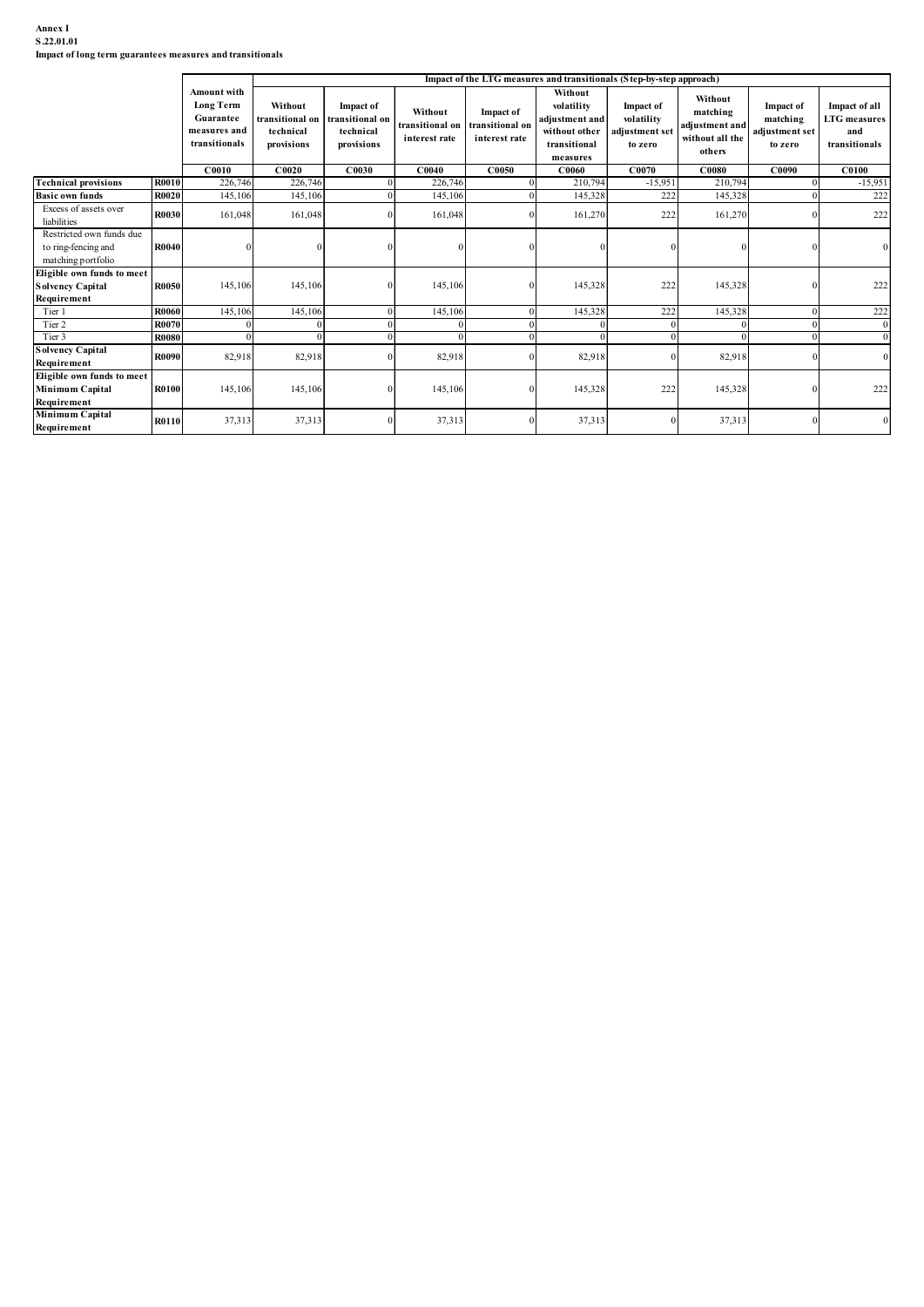## Annex I S.22.01.01

|                            | <b>Long Term</b><br>Guarantee<br>measures and<br>transitionals | Without<br>ransitional on<br>technical<br>provisions                                                                | <b>Impact of</b><br>transitional on<br>technical<br>provisions | Without<br>transitional on<br>interest rate                       | <b>Impact of</b><br>ransitional on<br>interest rate | volatility<br>adjustment and<br>without other<br>transitional | Impact of<br>volatility<br>adjustment set<br>to zero  | matching<br>adjustment and<br>without all the | Impact of<br>matching<br>adjustment set<br>to zero                                                                                                      | Impact of all<br><b>LTG</b> measures<br>and<br>transitionals |
|----------------------------|----------------------------------------------------------------|---------------------------------------------------------------------------------------------------------------------|----------------------------------------------------------------|-------------------------------------------------------------------|-----------------------------------------------------|---------------------------------------------------------------|-------------------------------------------------------|-----------------------------------------------|---------------------------------------------------------------------------------------------------------------------------------------------------------|--------------------------------------------------------------|
|                            | C0010                                                          | C0020                                                                                                               | C0030                                                          | C0040                                                             | C0050                                               | C0060                                                         | C0070                                                 | <b>C0080</b>                                  | C0090                                                                                                                                                   | <b>C0100</b>                                                 |
|                            | 226,746                                                        |                                                                                                                     |                                                                | 226,746                                                           |                                                     | 210,79                                                        | $-15,951$                                             | 210,794                                       |                                                                                                                                                         | $-15,951$                                                    |
|                            |                                                                |                                                                                                                     |                                                                |                                                                   |                                                     |                                                               |                                                       |                                               |                                                                                                                                                         | 222                                                          |
|                            |                                                                |                                                                                                                     |                                                                |                                                                   |                                                     |                                                               |                                                       |                                               |                                                                                                                                                         | 222                                                          |
|                            |                                                                |                                                                                                                     |                                                                |                                                                   |                                                     |                                                               |                                                       | $\Omega$                                      |                                                                                                                                                         |                                                              |
| Eligible own funds to meet | 145,106                                                        |                                                                                                                     |                                                                | 145,106                                                           |                                                     | 145,328                                                       |                                                       |                                               |                                                                                                                                                         | 222                                                          |
|                            | 145,106                                                        |                                                                                                                     |                                                                | 145,106                                                           |                                                     | 145,328                                                       |                                                       | 145,328                                       |                                                                                                                                                         | 222                                                          |
|                            |                                                                |                                                                                                                     |                                                                |                                                                   |                                                     |                                                               | $\Omega$                                              |                                               |                                                                                                                                                         |                                                              |
| R0090                      | 82,918                                                         | 82,918                                                                                                              |                                                                | 82,918                                                            |                                                     | 82,918                                                        |                                                       | 82,918                                        |                                                                                                                                                         |                                                              |
| Eligible own funds to meet | 145,106                                                        | 145,106                                                                                                             |                                                                | 145,106                                                           |                                                     | 145,328                                                       | 222                                                   | 145,328                                       |                                                                                                                                                         | 222                                                          |
| R0100                      |                                                                |                                                                                                                     |                                                                |                                                                   |                                                     | 37,313                                                        |                                                       | 37,313                                        |                                                                                                                                                         |                                                              |
|                            | <b>R0070</b>                                                   | Amount with<br>R0010<br>R0020<br>145,106<br>161,048<br>R0030<br>R0040<br>R0050<br>R0060<br>$\Omega$<br><b>R0080</b> | Impact of long term guarantees measures and transitionals      | 226,746<br>145,106<br>161,048<br>145,106<br>145,106<br>$\sqrt{ }$ | 145,106<br>161,048<br>$\Omega$                      |                                                               | Without<br>measures<br>145,328<br>161,270<br>$\Omega$ |                                               | Impact of the LTG measures and transitionals (Step-by-step approach)<br>Without<br>others<br>222<br>145,328<br>222<br>161,270<br>222<br>222<br>$\Omega$ | 145,328                                                      |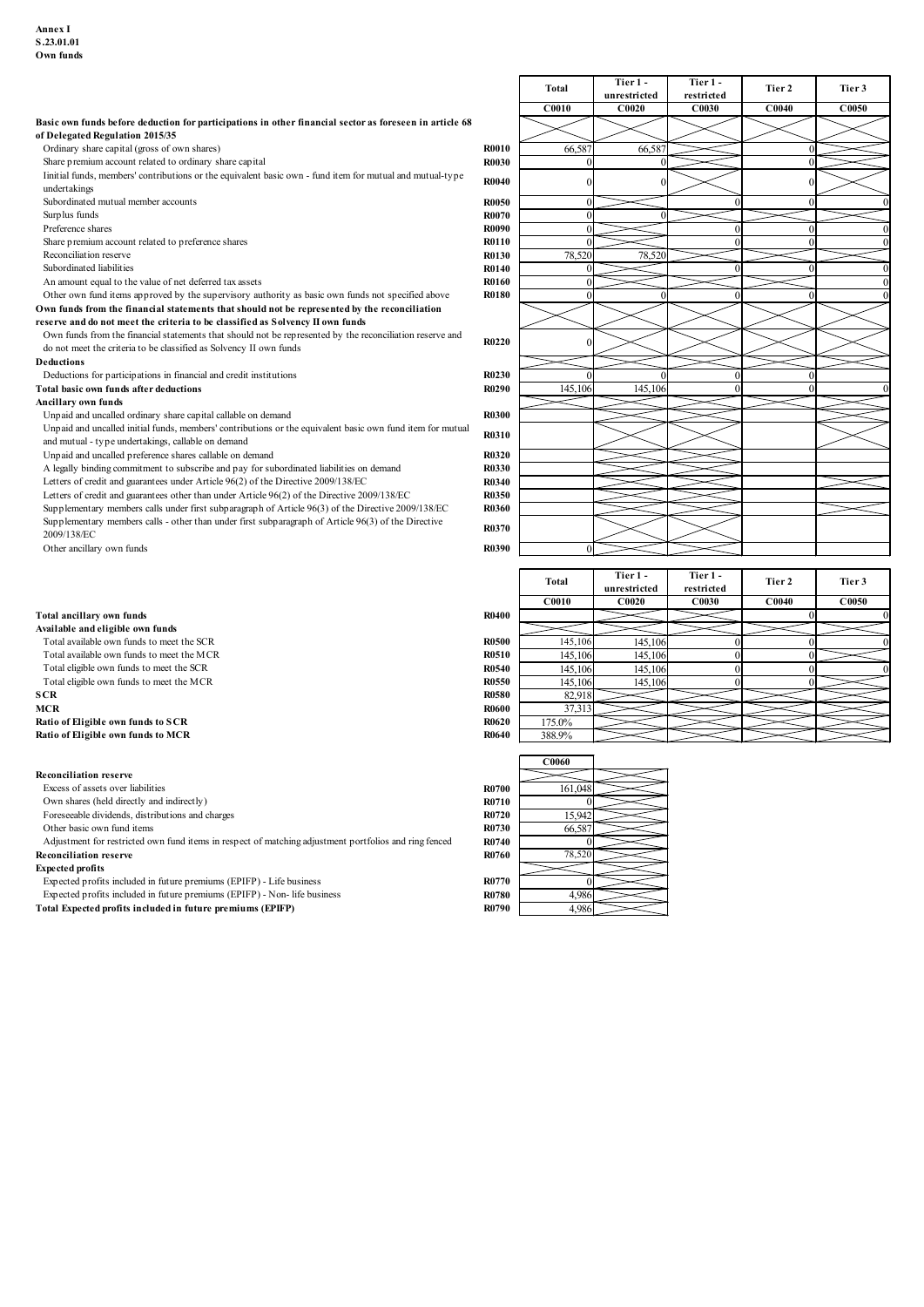| Annex I                                                                                                    |              |            |              |            |        |        |
|------------------------------------------------------------------------------------------------------------|--------------|------------|--------------|------------|--------|--------|
| S.23.01.01                                                                                                 |              |            |              |            |        |        |
| Own funds                                                                                                  |              |            |              |            |        |        |
|                                                                                                            |              |            |              |            |        |        |
|                                                                                                            |              | Total      | Tier 1-      | Tier 1-    | Tier 2 | Tier 3 |
|                                                                                                            |              |            | unrestricted | restricted |        |        |
|                                                                                                            |              | C0010      | C0020        | C0030      | C0040  | C0050  |
| Basic own funds before deduction for participations in other financial sector as foreseen in article 68    |              |            |              |            |        |        |
| of Delegated Regulation 2015/35                                                                            |              |            |              |            |        |        |
| Ordinary share capital (gross of own shares)                                                               | <b>R0010</b> | 66,587     | 66,587       |            |        |        |
| Share premium account related to ordinary share capital                                                    | <b>R0030</b> |            |              |            |        |        |
| Iinitial funds, members' contributions or the equivalent basic own - fund item for mutual and mutual-type  |              |            |              |            |        |        |
| undertakings                                                                                               | <b>R0040</b> |            |              |            |        |        |
| Subordinated mutual member accounts                                                                        | <b>R0050</b> |            |              |            |        |        |
| Surplus funds                                                                                              | <b>R0070</b> | $\sqrt{ }$ |              |            |        |        |
| Preference shares                                                                                          | R0090        |            |              |            |        |        |
| Share premium account related to preference shares                                                         | <b>R0110</b> |            |              |            |        |        |
| Reconciliation reserve                                                                                     | <b>R0130</b> | 78,520     | 78,520       |            |        |        |
| Subordinated liabilities                                                                                   | <b>R0140</b> |            |              |            |        |        |
| An amount equal to the value of net deferred tax assets                                                    | <b>R0160</b> |            |              |            |        |        |
| Other own fund items approved by the supervisory authority as basic own funds not specified above          | <b>R0180</b> | $\Omega$   |              |            |        |        |
| Own funds from the financial statements that should not be represented by the reconciliation               |              |            |              |            |        |        |
| reserve and do not meet the criteria to be classified as Solvency II own funds                             |              |            |              |            |        |        |
| Own funds from the financial statements that should not be represented by the reconciliation reserve and   | <b>R0220</b> |            |              |            |        |        |
| do not meet the criteria to be classified as Solvency II own funds                                         |              |            |              |            |        |        |
| Deductions                                                                                                 |              |            |              |            |        |        |
| Deductions for participations in financial and credit institutions                                         | R0230        |            |              |            |        |        |
| Total basic own funds after deductions                                                                     | <b>R0290</b> | 145,106    | 145,106      |            |        |        |
| Ancillary own funds                                                                                        |              |            |              |            |        |        |
| Unpaid and uncalled ordinary share capital callable on demand                                              | <b>R0300</b> |            |              |            |        |        |
| Unpaid and uncalled initial funds, members' contributions or the equivalent basic own fund item for mutual | R0310        |            |              |            |        |        |
| and mutual - type undertakings, callable on demand                                                         |              |            |              |            |        |        |
| Unpaid and uncalled preference shares callable on demand                                                   | <b>R0320</b> |            |              |            |        |        |
| A legally binding commitment to subscribe and pay for subordinated liabilities on demand                   | <b>R0330</b> |            |              |            |        |        |
| Letters of credit and guarantees under Article 96(2) of the Directive 2009/138/EC                          | <b>R0340</b> |            |              |            |        |        |
|                                                                                                            |              |            |              |            |        |        |

- 
- 
- 

## Reconciliation reserve

#### Expected profits

| Annex I                                                                                                                                                                                                   |                              |                       |                       |                            |                 |                 |
|-----------------------------------------------------------------------------------------------------------------------------------------------------------------------------------------------------------|------------------------------|-----------------------|-----------------------|----------------------------|-----------------|-----------------|
| S.23.01.01<br>Own funds                                                                                                                                                                                   |                              |                       |                       |                            |                 |                 |
|                                                                                                                                                                                                           |                              |                       | Tier 1-               | Tier 1 -                   |                 |                 |
|                                                                                                                                                                                                           |                              | Total<br><b>C0010</b> | unrestricted<br>C0020 | restricted<br><b>C0030</b> | Tier 2<br>C0040 | Tier 3<br>C0050 |
| Basic own funds before deduction for participations in other financial sector as foreseen in article 68                                                                                                   |                              |                       |                       |                            |                 |                 |
| of Delegated Regulation 2015/35<br>Ordinary share capital (gross of own shares)                                                                                                                           | <b>R0010</b>                 | 66,587                | 66,587                |                            |                 |                 |
| Share premium account related to ordinary share capital                                                                                                                                                   | <b>R0030</b>                 |                       |                       |                            |                 |                 |
| Iinitial funds, members' contributions or the equivalent basic own - fund item for mutual and mutual-type<br>undertakings                                                                                 | <b>R0040</b>                 |                       |                       |                            |                 |                 |
| Subordinated mutual member accounts<br>Surplus funds                                                                                                                                                      | <b>R0050</b><br><b>R0070</b> |                       |                       |                            |                 |                 |
| Preference shares                                                                                                                                                                                         | <b>R0090</b>                 |                       |                       |                            |                 |                 |
| Share premium account related to preference shares<br>Reconciliation reserve                                                                                                                              | <b>R0110</b><br>R0130        | 78,520                | 78,520                |                            |                 |                 |
| Subordinated liabilities<br>An amount equal to the value of net deferred tax assets                                                                                                                       | R0140<br><b>R0160</b>        |                       |                       |                            |                 |                 |
| Other own fund items approved by the supervisory authority as basic own funds not specified above                                                                                                         | <b>R0180</b>                 |                       |                       |                            |                 |                 |
| Own funds from the financial statements that should not be represented by the reconciliation<br>reserve and do not meet the criteria to be classified as Solvency II own funds                            |                              |                       |                       |                            |                 |                 |
| Own funds from the financial statements that should not be represented by the reconciliation reserve and<br>do not meet the criteria to be classified as Solvency II own funds                            | R0220                        |                       |                       |                            |                 |                 |
| Deductions                                                                                                                                                                                                |                              |                       |                       |                            |                 |                 |
| Deductions for participations in financial and credit institutions<br>Total basic own funds after deductions                                                                                              | R0230<br>R0290               | 145,106               | 145,106               |                            |                 |                 |
| Ancillary own funds                                                                                                                                                                                       |                              |                       |                       |                            |                 |                 |
| Unpaid and uncalled ordinary share capital callable on demand<br>Unpaid and uncalled initial funds, members' contributions or the equivalent basic own fund item for mutual                               | <b>R0300</b><br>R0310        |                       |                       |                            |                 |                 |
| and mutual - type undertakings, callable on demand<br>Unpaid and uncalled preference shares callable on demand                                                                                            | R0320                        |                       |                       |                            |                 |                 |
| A legally binding commitment to subscribe and pay for subordinated liabilities on demand                                                                                                                  | R0330                        |                       |                       |                            |                 |                 |
| Letters of credit and guarantees under Article 96(2) of the Directive 2009/138/EC<br>Letters of credit and guarantees other than under Article 96(2) of the Directive 2009/138/EC                         | R0340<br><b>R0350</b>        |                       |                       |                            |                 |                 |
| Supplementary members calls under first subparagraph of Article 96(3) of the Directive 2009/138/EC<br>Supplementary members calls - other than under first subparagraph of Article 96(3) of the Directive | <b>R0360</b>                 |                       |                       |                            |                 |                 |
| 2009/138/EC                                                                                                                                                                                               | R0370                        |                       |                       |                            |                 |                 |
| Other ancillary own funds                                                                                                                                                                                 | R0390                        |                       |                       |                            |                 |                 |
|                                                                                                                                                                                                           |                              | Total                 | Tier 1 -              | Tier 1 -                   | Tier 2          | Tier 3          |
|                                                                                                                                                                                                           |                              | <b>C0010</b>          | unrestricted<br>C0020 | restricted<br><b>C0030</b> | C0040           | C0050           |
| Total ancillary own funds<br>Available and eligible own funds                                                                                                                                             | <b>R0400</b>                 |                       |                       |                            |                 |                 |
| Total available own funds to meet the SCR                                                                                                                                                                 | <b>R0500</b>                 | 145,106               | 145,106               |                            |                 |                 |
| Total available own funds to meet the MCR<br>Total eligible own funds to meet the SCR                                                                                                                     | R0510<br>R0540               | 145,106<br>145,106    | 145,106<br>145,106    |                            |                 |                 |
| Total eligible own funds to meet the MCR<br>SCR                                                                                                                                                           | <b>R0550</b><br><b>R0580</b> | 145,106<br>82,918     | 145,106               |                            |                 |                 |
| MCR                                                                                                                                                                                                       | <b>R0600</b>                 | 37,31                 |                       |                            |                 |                 |
| Ratio of Eligible own funds to SCR<br>Ratio of Eligible own funds to MCR                                                                                                                                  | <b>R0620</b><br><b>R0640</b> | 175.0%<br>388.9%      |                       |                            |                 |                 |
|                                                                                                                                                                                                           |                              |                       |                       |                            |                 |                 |
| <b>Reconciliation reserve</b>                                                                                                                                                                             |                              | C0060                 |                       |                            |                 |                 |
|                                                                                                                                                                                                           | <b>R0700</b>                 | 161,04                |                       |                            |                 |                 |
| Excess of assets over liabilities                                                                                                                                                                         |                              |                       |                       |                            |                 |                 |
| Own shares (held directly and indirectly)<br>Foreseeable dividends, distributions and charges<br>Other basic own fund items                                                                               | R0710<br>R0720<br>R0730      | 15,942<br>66,58       |                       |                            |                 |                 |

| Unpaid and uncalled preference shares callable on demand                                                           | R0320        |              |              |            |        |        |
|--------------------------------------------------------------------------------------------------------------------|--------------|--------------|--------------|------------|--------|--------|
| A legally binding commitment to subscribe and pay for subordinated liabilities on demand                           | <b>R0330</b> |              |              |            |        |        |
| Letters of credit and guarantees under Article 96(2) of the Directive 2009/138/EC                                  | <b>R0340</b> |              |              |            |        |        |
| Letters of credit and guarantees other than under Article 96(2) of the Directive 2009/138/EC                       | R0350        |              |              |            |        |        |
| Supplementary members calls under first subparagraph of Article 96(3) of the Directive 2009/138/EC                 | <b>R0360</b> |              |              |            |        |        |
| Supplementary members calls - other than under first subparagraph of Article 96(3) of the Directive<br>2009/138/EC | R0370        |              |              |            |        |        |
| Other ancillary own funds                                                                                          | R0390        | $\Omega$     |              |            |        |        |
|                                                                                                                    |              |              |              |            |        |        |
|                                                                                                                    |              | <b>Total</b> | Tier 1-      | Tier 1 -   | Tier 2 | Tier 3 |
|                                                                                                                    |              |              | unrestricted | restricted |        |        |
|                                                                                                                    |              | C0010        | C0020        | C0030      | C0040  | C0050  |
| <b>Total ancillary own funds</b>                                                                                   | <b>R0400</b> |              |              |            |        |        |
| Available and eligible own funds                                                                                   |              |              |              |            |        |        |
| Total available own funds to meet the SCR                                                                          | <b>R0500</b> | 145,106      | 145,106      |            |        |        |
| Total available own funds to meet the MCR                                                                          | R0510        | 145,106      | 145,106      |            |        |        |
| Total eligible own funds to meet the SCR                                                                           | R0540        | 145,106      | 145,106      |            |        |        |
| Total eligible own funds to meet the MCR                                                                           | <b>R0550</b> | 145,106      | 145,106      |            |        |        |
| SCR                                                                                                                | <b>R0580</b> | 82,918       |              |            |        |        |
| MCR                                                                                                                | <b>R0600</b> | 37,313       |              |            |        |        |
| Ratio of Eligible own funds to SCR                                                                                 | <b>R0620</b> | 175.0%       |              |            |        |        |
| Ratio of Eligible own funds to MCR                                                                                 | <b>R0640</b> | 388.9%       |              |            |        |        |
|                                                                                                                    |              |              |              |            |        |        |
|                                                                                                                    |              | C0060        |              |            |        |        |
| <b>Reconciliation reserve</b>                                                                                      |              |              |              |            |        |        |
| Excess of assets over liabilities                                                                                  | <b>R0700</b> | 161,048      |              |            |        |        |
| Own shares (held directly and indirectly)                                                                          | <b>R0710</b> |              |              |            |        |        |
| Foreseeable dividends, distributions and charges                                                                   | R0720        | 15,942       |              |            |        |        |
| Other basic own fund items                                                                                         | <b>R0730</b> | 66,587       |              |            |        |        |
| Adjustment for restricted own fund items in respect of matching adjustment portfolios and ring fenced              | R0740        |              |              |            |        |        |
| <b>Reconciliation reserve</b>                                                                                      | <b>R0760</b> | 78,520       |              |            |        |        |
| <b>Expected profits</b>                                                                                            |              |              |              |            |        |        |
| Expected profits included in future premiums (EPIFP) - Life business                                               | R0770        | $\Omega$     |              |            |        |        |
| Expected profits included in future premiums (EPIFP) - Non- life business                                          | <b>R0780</b> | 4,986        |              |            |        |        |
| Total Expected profits included in future premiums (EPIFP)                                                         | R0790        | 4,986        |              |            |        |        |
|                                                                                                                    |              |              |              |            |        |        |
|                                                                                                                    |              |              |              |            |        |        |
|                                                                                                                    |              |              |              |            |        |        |
|                                                                                                                    |              |              |              |            |        |        |
|                                                                                                                    |              |              |              |            |        |        |
|                                                                                                                    |              |              |              |            |        |        |
|                                                                                                                    |              |              |              |            |        |        |

| C0060   |  |  |
|---------|--|--|
|         |  |  |
| 161,048 |  |  |
|         |  |  |
| 15,942  |  |  |
| 66,587  |  |  |
|         |  |  |
| 78,520  |  |  |
|         |  |  |
|         |  |  |
| 4,986   |  |  |
| 4,986   |  |  |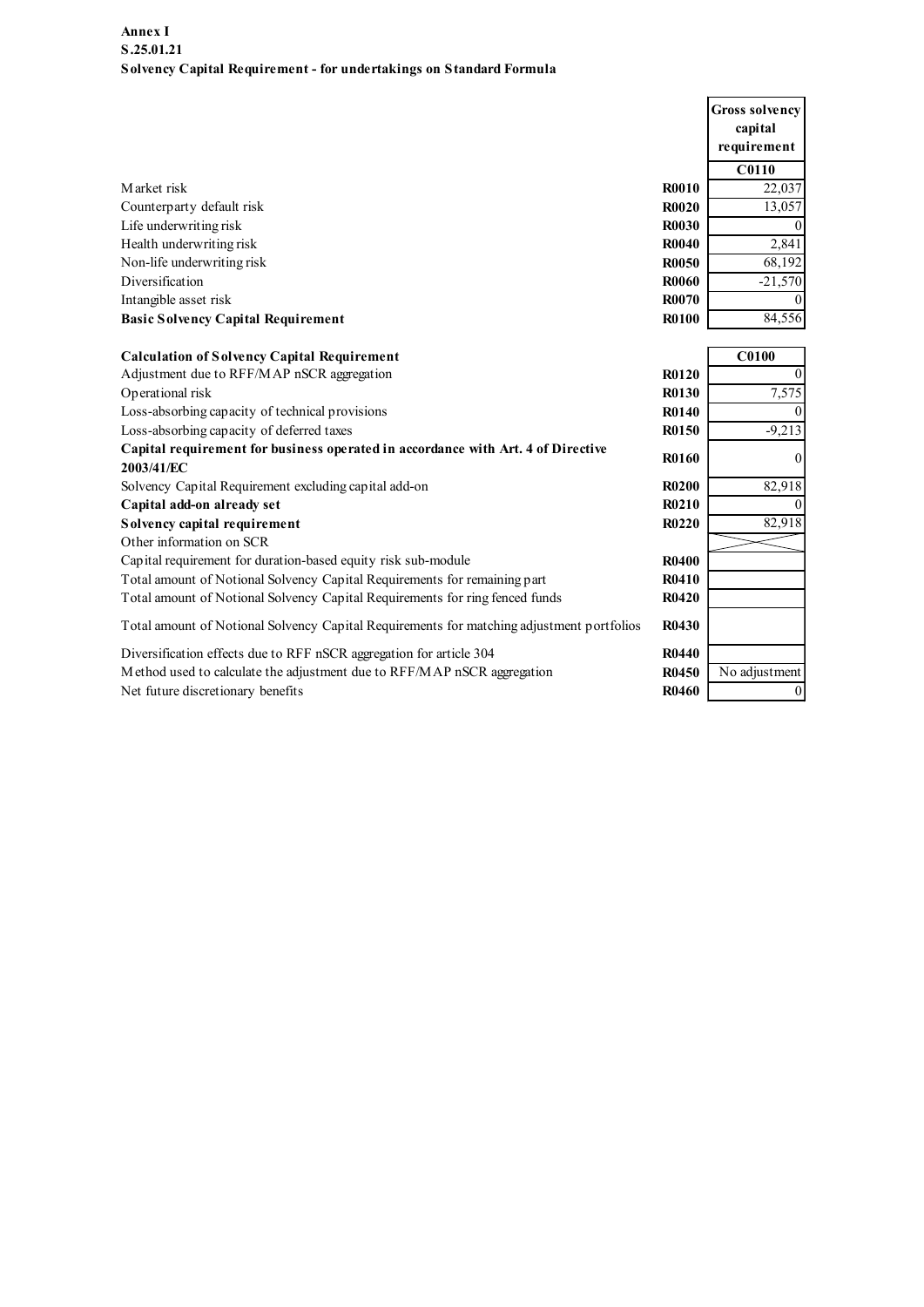| Annex I                                                                                        |              |                       |
|------------------------------------------------------------------------------------------------|--------------|-----------------------|
| S.25.01.21                                                                                     |              |                       |
| Solvency Capital Requirement - for undertakings on Standard Formula                            |              |                       |
|                                                                                                |              |                       |
|                                                                                                |              | <b>Gross solvency</b> |
|                                                                                                |              | capital               |
|                                                                                                |              | requirement           |
|                                                                                                |              | C0110                 |
| Market risk                                                                                    | <b>R0010</b> | 22,037                |
| Counterparty default risk                                                                      | <b>R0020</b> | 13,057                |
| Life underwriting risk                                                                         | <b>R0030</b> |                       |
| Health underwriting risk                                                                       | <b>R0040</b> | 2,841                 |
| Non-life underwriting risk                                                                     | <b>R0050</b> | 68,192                |
| Diversification                                                                                | <b>R0060</b> | $-21,570$             |
| Intangible asset risk                                                                          | <b>R0070</b> |                       |
| <b>Basic Solvency Capital Requirement</b>                                                      | <b>R0100</b> | 84,556                |
| <b>Calculation of Solvency Capital Requirement</b>                                             |              | <b>C0100</b>          |
| Adjustment due to RFF/MAP nSCR aggregation                                                     | R0120        |                       |
| Operational risk                                                                               | <b>R0130</b> | 7,575                 |
| Loss-absorbing capacity of technical provisions                                                | R0140        | $\Omega$              |
| Loss-absorbing capacity of deferred taxes                                                      | R0150        | $-9,213$              |
| Capital requirement for business operated in accordance with Art. 4 of Directive<br>2003/41/EC | <b>R0160</b> | $\Omega$              |
| Solvency Capital Requirement excluding capital add-on                                          | <b>R0200</b> | 82,918                |
| Capital add-on already set                                                                     | R0210        | $\Omega$              |
| Solvency capital requirement                                                                   | R0220        | 82,918                |
| Other information on SCR                                                                       |              |                       |
| Capital requirement for duration-based equity risk sub-module                                  | <b>R0400</b> |                       |
| Total amount of Notional Solvency Capital Requirements for remaining part                      | <b>R0410</b> |                       |
| Total amount of Notional Solvency Capital Requirements for ring fenced funds                   | R0420        |                       |
| Total amount of Notional Solvency Capital Requirements for matching adjustment portfolios      | R0430        |                       |
| Diversification effects due to RFF nSCR aggregation for article 304                            | R0440        |                       |
| Method used to calculate the adjustment due to RFF/MAP nSCR aggregation                        | R0450        | No adjustment         |
| Net future discretionary benefits                                                              | R0460        | $\vert$ 0             |